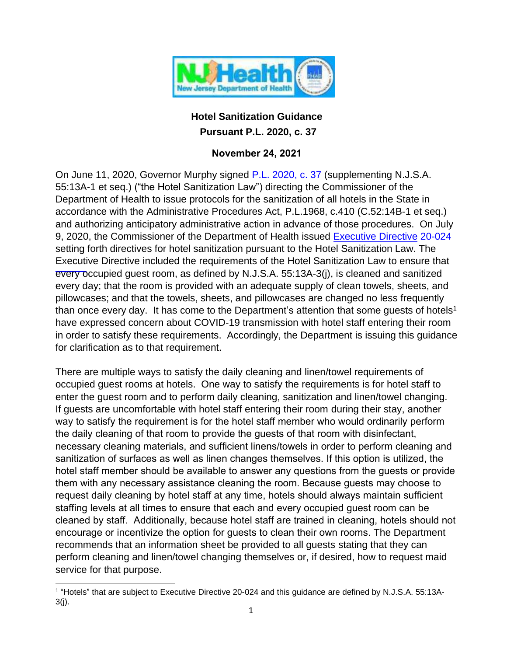

## **Hotel Sanitization Guidance Pursuant P.L. 2020, c. 37**

## **November 24, 2021**

On June 11, 2020, Governor Murphy signed [P.L. 2020, c. 37](https://www.njleg.state.nj.us/2020/Bills/AL20/37_.HTM) (supplementing N.J.S.A. 55:13A-1 et seq.) ("the Hotel Sanitization Law") directing the Commissioner of the Department of Health to issue protocols for the sanitization of all hotels in the State in accordance with the Administrative Procedures Act, P.L.1968, c.410 (C.52:14B-1 et seq.) and authorizing anticipatory administrative action in advance of those procedures. On July 9, 2020, the Commissioner of the Department of Health issued Executive Directive 20-024 setting forth directives for hotel sanitization pursuant to the Hotel S[anitization Law.](https://www.state.nj.us/health/legal/covid19/7-9-2020_20-024ExecDirHotels_.pdf) The [Executiv](https://www.state.nj.us/health/legal/covid19/7-9-2020_20-024ExecDirHotels_.pdf)e Directive included the requirements of the Hotel Sanitization Law to ensure that every occupied guest room, as defined by N.J.S.A. 55:13A-3(j), is cleaned and sanitized every day; that the room is provided with an adequate supply of clean towels, sheets, and pillowcases; and that the towels, sheets, and pillowcases are changed no less frequently than once every day. It has come to the Department's attention that some quests of hotels<sup>1</sup> have expressed concern about COVID-19 transmission with hotel staff entering their room in order to satisfy these requirements. Accordingly, the Department is issuing this guidance for clarification as to that requirement.

There are multiple ways to satisfy the daily cleaning and linen/towel requirements of occupied guest rooms at hotels. One way to satisfy the requirements is for hotel staff to enter the guest room and to perform daily cleaning, sanitization and linen/towel changing. If guests are uncomfortable with hotel staff entering their room during their stay, another way to satisfy the requirement is for the hotel staff member who would ordinarily perform the daily cleaning of that room to provide the guests of that room with disinfectant, necessary cleaning materials, and sufficient linens/towels in order to perform cleaning and sanitization of surfaces as well as linen changes themselves. If this option is utilized, the hotel staff member should be available to answer any questions from the guests or provide them with any necessary assistance cleaning the room. Because guests may choose to request daily cleaning by hotel staff at any time, hotels should always maintain sufficient staffing levels at all times to ensure that each and every occupied guest room can be cleaned by staff. Additionally, because hotel staff are trained in cleaning, hotels should not encourage or incentivize the option for guests to clean their own rooms. The Department recommends that an information sheet be provided to all guests stating that they can perform cleaning and linen/towel changing themselves or, if desired, how to request maid service for that purpose.

<sup>1</sup> "Hotels" that are subject to Executive Directive 20-024 and this guidance are defined by N.J.S.A. 55:13A-3(j).